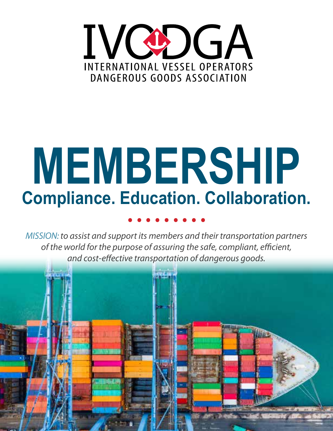

# **MEMBERSHIP Compliance. Education. Collaboration. .........**

*MISSION: to assist and support its members and their transportation partners of the world for the purpose of assuring the safe, compliant, efficient, and cost-effective transportation of dangerous goods.*

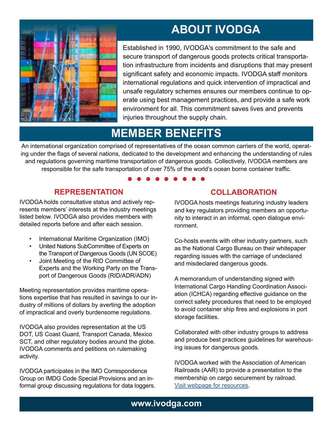# **ABOUT IVODGA**

Established in 1990, IVODGA's commitment to the safe and secure transport of dangerous goods protects critical transportation infrastructure from incidents and disruptions that may present significant safety and economic impacts. IVODGA staff monitors international regulations and quick intervention of impractical and unsafe regulatory schemes ensures our members continue to operate using best management practices, and provide a safe work environment for all. This commitment saves lives and prevents injuries throughout the supply chain.

# **MEMBER BENEFITS**

An international organization comprised of representatives of the ocean common carriers of the world, operating under the flags of several nations, dedicated to the development and enhancing the understanding of rules and regulations governing maritime transportation of dangerous goods. Collectively, IVODGA members are responsible for the safe transportation of over 75% of the world's ocean borne container traffic. **.........**

#### **REPRESENTATION**

IVODGA holds consultative status and actively represents members' interests at the industry meetings listed below. IVODGA also provides members with detailed reports before and after each session.

- International Maritime Organization (IMO)
- United Nations SubCommittee of Experts on the Transport of Dangerous Goods (UN SCOE)
- Joint Meeting of the RID Committee of Experts and the Working Party on the Transport of Dangerous Goods (RID/ADR/ADN)

Meeting representation provides maritime operations expertise that has resulted in savings to our industry of millions of dollars by averting the adoption of impractical and overly burdensome regulations.

IVODGA also provides representation at the US DOT, US Coast Guard, Transport Canada, Mexico SCT, and other regulatory bodies around the globe. IVODGA comments and petitions on rulemaking activity.

IVODGA participates in the IMO Correspondence Group on IMDG Code Special Provisions and an informal group discussing regulations for data loggers.

### **COLLABORATION**

IVODGA hosts meetings featuring industry leaders and key regulators providing members an opportunity to interact in an informal, open dialogue environment.

Co-hosts events with other industry partners, such as the National Cargo Bureau on their whitepaper regarding issues with the carriage of undeclared and misdeclared dangerous goods.

A memorandum of understanding signed with International Cargo Handling Coordination Association (ICHCA) regarding effective guidance on the correct safety procedures that need to be employed to avoid container ship fires and explosions in port storage facilities.

Collaborated with other industry groups to address and produce best practices guidelines for warehousing issues for dangerous goods.

IVODGA worked with the Association of American Railroads (AAR) to provide a presentation to the membership on cargo securement by railroad. Visit webpage for resources.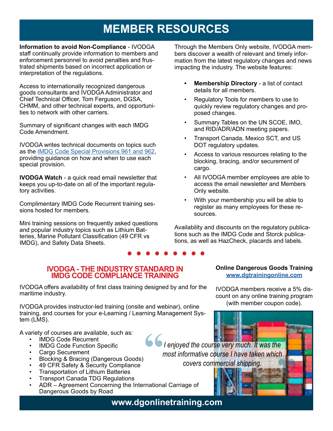# **MEMBER RESOURCES**

**Information to avoid Non-Compliance** - IVODGA staff continually provide information to members and enforcement personnel to avoid penalties and frustrated shipments based on incorrect application or interpretation of the regulations.

Access to internationally recognized dangerous goods consultants and IVODGA Administrator and Chief Technical Officer, Tom Ferguson, DGSA, CHMM, and other technical experts, and opportunities to network with other carriers.

Summary of significant changes with each IMDG Code Amendment.

IVODGA writes technical documents on topics such as the IMDG Code Special Provisions 961 and 962, providing guidance on how and when to use each special provision.

**IVODGA Watch** - a quick read email newsletter that keeps you up-to-date on all of the important regulatory activities.

Complimentary IMDG Code Recurrent training sessions hosted for members.

Mini training sessions on frequently asked questions and popular industry topics such as Lithium Batteries, Marine Pollutant Classification (49 CFR vs IMDG), and Safety Data Sheets. **tions, as we**<br>**•** • • • • • • • •

Through the Members Only website, IVODGA members discover a wealth of relevant and timely information from the latest regulatory changes and news impacting the industry. The website features:

- **• Membership Directory**  a list of contact details for all members.
- Regulatory Tools for members to use to quickly review regulatory changes and proposed changes.
- Summary Tables on the UN SCOE, IMO, and RID/ADR/ADN meeting papers.
- Transport Canada, Mexico SCT, and US DOT regulatory updates.
- Access to various resources relating to the blocking, bracing, and/or securement of cargo.
- All IVODGA member employees are able to access the email newsletter and Members Only website.
- With your membership you will be able to register as many employees for these resources.

Availability and discounts on the regulatory publications such as the IMDG Code and Storck publications, as well as HazCheck, placards and labels.

*I enjoyed the course very much. It was the most informative course I have taken which covers commercial shipping.*

#### **IVODGA - THE INDUSTRY STANDARD IN IMDG CODE COMPLIANCE TRAINING**

IVODGA offers availability of first class training designed by and for the maritime industry.

IVODGA provides instructor-led training (onsite and webinar), online training, and courses for your e-Learning / Learning Management System (LMS).

A variety of courses are available, such as:

- IMDG Code Recurrent
- IMDG Code Function Specific
- Cargo Securement
- Blocking & Bracing (Dangerous Goods)
- 49 CFR Safety & Security Compliance
- Transportation of Lithium Batteries
- Transport Canada TDG Regulations
- ADR Agreement Concerning the International Carriage of Dangerous Goods by Road

#### **Online Dangerous Goods Training www.dgtrainingonline.com**

IVODGA members receive a 5% discount on any online training program (with member coupon code).

**"**

**www.dgonlinetraining.com**

**"**